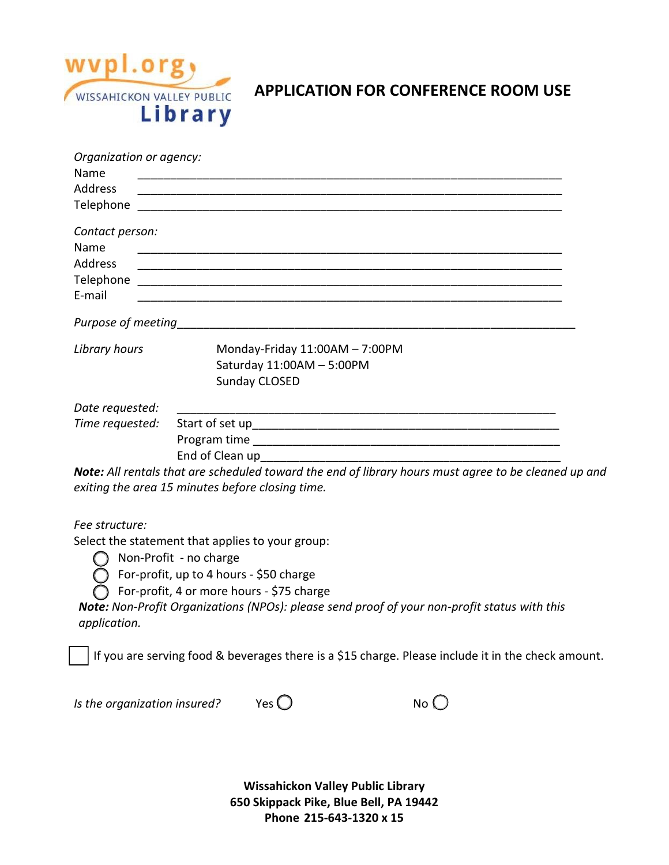

## **APPLICATION FOR CONFERENCE ROOM USE**

| Organization or agency: |                                                                                                      |  |
|-------------------------|------------------------------------------------------------------------------------------------------|--|
| Name                    |                                                                                                      |  |
| Address                 |                                                                                                      |  |
| Telephone               |                                                                                                      |  |
| Contact person:         |                                                                                                      |  |
| Name                    |                                                                                                      |  |
| <b>Address</b>          |                                                                                                      |  |
|                         |                                                                                                      |  |
| E-mail                  |                                                                                                      |  |
|                         |                                                                                                      |  |
| Library hours           | Monday-Friday $11:00AM - 7:00PM$                                                                     |  |
|                         | Saturday 11:00AM - 5:00PM                                                                            |  |
|                         | Sunday CLOSED                                                                                        |  |
| Date requested:         |                                                                                                      |  |
| Time requested:         |                                                                                                      |  |
|                         |                                                                                                      |  |
|                         |                                                                                                      |  |
|                         | Note: All rentals that are scheduled toward the end of library hours must agree to be cleaned up and |  |
|                         | exiting the area 15 minutes before closing time.                                                     |  |
| Fee structure:          |                                                                                                      |  |
|                         | Select the statement that applies to your group:                                                     |  |
|                         |                                                                                                      |  |

Non-Profit - no charge

 $\bigcirc$  For-profit, up to 4 hours - \$50 charge

 $\overline{O}$  For-profit, 4 or more hours - \$75 charge

*Note: Non-Profit Organizations (NPOs): please send proof of your non-profit status with this application.*

If you are serving food & beverages there is a \$15 charge. Please include it in the check amount.

*Is the organization insured?*  $Yes$   $\bigcirc$   $\bigcirc$  No  $\bigcirc$ 

|--|--|



**Wissahickon Valley Public Library 650 Skippack Pike, Blue Bell, PA 19442 Phone 215-643-1320 x 15**